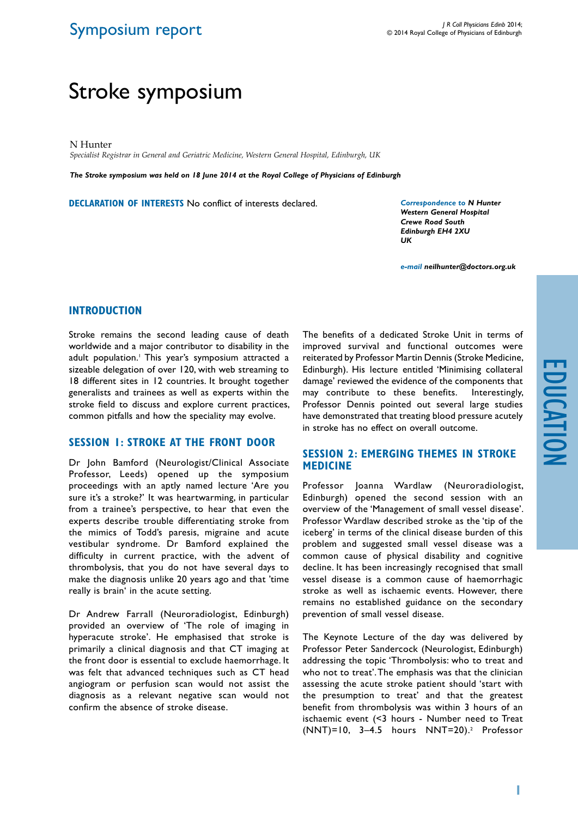## Symposium report

# Stroke symposium

N Hunter

*Specialist Registrar in General and Geriatric Medicine, Western General Hospital, Edinburgh, UK*

*The Stroke symposium was held on 18 June 2014 at the Royal College of Physicians of Edinburgh*

**Declaration of Interests** No conflict of interests declared.

*Correspondence to N Hunter Western General Hospital Crewe Road South Edinburgh EH4 2XU UK*

*e-mail neilhunter@doctors.org.uk*

#### **Introduction**

Stroke remains the second leading cause of death worldwide and a major contributor to disability in the adult population.1 This year's symposium attracted a sizeable delegation of over 120, with web streaming to 18 different sites in 12 countries. It brought together generalists and trainees as well as experts within the stroke field to discuss and explore current practices, common pitfalls and how the speciality may evolve.

### **SESSION 1: STROKE AT THE FRONT DOOR**

Dr John Bamford (Neurologist/Clinical Associate Professor, Leeds) opened up the symposium proceedings with an aptly named lecture 'Are you sure it's a stroke?' It was heartwarming, in particular from a trainee's perspective, to hear that even the experts describe trouble differentiating stroke from the mimics of Todd's paresis, migraine and acute vestibular syndrome. Dr Bamford explained the difficulty in current practice, with the advent of thrombolysis, that you do not have several days to make the diagnosis unlike 20 years ago and that 'time really is brain' in the acute setting.

Dr Andrew Farrall (Neuroradiologist, Edinburgh) provided an overview of 'The role of imaging in hyperacute stroke'. He emphasised that stroke is primarily a clinical diagnosis and that CT imaging at the front door is essential to exclude haemorrhage. It was felt that advanced techniques such as CT head angiogram or perfusion scan would not assist the diagnosis as a relevant negative scan would not confirm the absence of stroke disease.

The benefits of a dedicated Stroke Unit in terms of improved survival and functional outcomes were reiterated by Professor Martin Dennis (Stroke Medicine, Edinburgh). His lecture entitled 'Minimising collateral damage' reviewed the evidence of the components that may contribute to these benefits. Interestingly, Professor Dennis pointed out several large studies have demonstrated that treating blood pressure acutely in stroke has no effect on overall outcome.

#### **Session 2: Emerging themes in stroke medicine**

Professor Joanna Wardlaw (Neuroradiologist, Edinburgh) opened the second session with an overview of the 'Management of small vessel disease'. Professor Wardlaw described stroke as the 'tip of the iceberg' in terms of the clinical disease burden of this problem and suggested small vessel disease was a common cause of physical disability and cognitive decline. It has been increasingly recognised that small vessel disease is a common cause of haemorrhagic stroke as well as ischaemic events. However, there remains no established guidance on the secondary prevention of small vessel disease.

The Keynote Lecture of the day was delivered by Professor Peter Sandercock (Neurologist, Edinburgh) addressing the topic 'Thrombolysis: who to treat and who not to treat'. The emphasis was that the clinician assessing the acute stroke patient should 'start with the presumption to treat' and that the greatest benefit from thrombolysis was within 3 hours of an ischaemic event (<3 hours - Number need to Treat (NNT)=10, 3–4.5 hours NNT=20).2 Professor